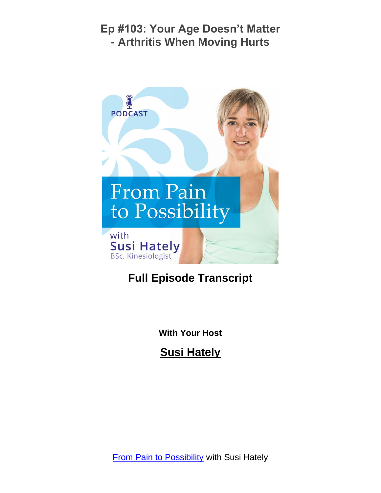

# **Full Episode Transcript**

**With Your Host**

**Susi Hately**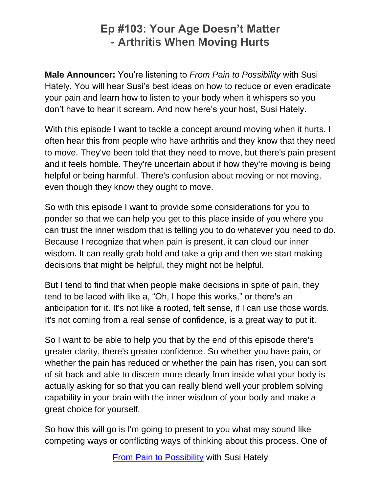**Male Announcer:** You're listening to *From Pain to Possibility* with Susi Hately. You will hear Susi's best ideas on how to reduce or even eradicate your pain and learn how to listen to your body when it whispers so you don't have to hear it scream. And now here's your host, Susi Hately.

With this episode I want to tackle a concept around moving when it hurts. I often hear this from people who have arthritis and they know that they need to move. They've been told that they need to move, but there's pain present and it feels horrible. They're uncertain about if how they're moving is being helpful or being harmful. There's confusion about moving or not moving, even though they know they ought to move.

So with this episode I want to provide some considerations for you to ponder so that we can help you get to this place inside of you where you can trust the inner wisdom that is telling you to do whatever you need to do. Because I recognize that when pain is present, it can cloud our inner wisdom. It can really grab hold and take a grip and then we start making decisions that might be helpful, they might not be helpful.

But I tend to find that when people make decisions in spite of pain, they tend to be laced with like a, "Oh, I hope this works," or there's an anticipation for it. It's not like a rooted, felt sense, if I can use those words. It's not coming from a real sense of confidence, is a great way to put it.

So I want to be able to help you that by the end of this episode there's greater clarity, there's greater confidence. So whether you have pain, or whether the pain has reduced or whether the pain has risen, you can sort of sit back and able to discern more clearly from inside what your body is actually asking for so that you can really blend well your problem solving capability in your brain with the inner wisdom of your body and make a great choice for yourself.

So how this will go is I'm going to present to you what may sound like competing ways or conflicting ways of thinking about this process. One of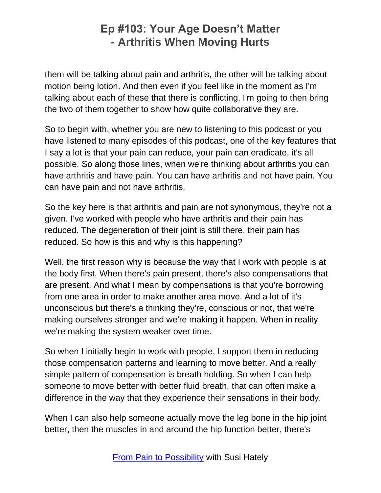them will be talking about pain and arthritis, the other will be talking about motion being lotion. And then even if you feel like in the moment as I'm talking about each of these that there is conflicting, I'm going to then bring the two of them together to show how quite collaborative they are.

So to begin with, whether you are new to listening to this podcast or you have listened to many episodes of this podcast, one of the key features that I say a lot is that your pain can reduce, your pain can eradicate, it's all possible. So along those lines, when we're thinking about arthritis you can have arthritis and have pain. You can have arthritis and not have pain. You can have pain and not have arthritis.

So the key here is that arthritis and pain are not synonymous, they're not a given. I've worked with people who have arthritis and their pain has reduced. The degeneration of their joint is still there, their pain has reduced. So how is this and why is this happening?

Well, the first reason why is because the way that I work with people is at the body first. When there's pain present, there's also compensations that are present. And what I mean by compensations is that you're borrowing from one area in order to make another area move. And a lot of it's unconscious but there's a thinking they're, conscious or not, that we're making ourselves stronger and we're making it happen. When in reality we're making the system weaker over time.

So when I initially begin to work with people, I support them in reducing those compensation patterns and learning to move better. And a really simple pattern of compensation is breath holding. So when I can help someone to move better with better fluid breath, that can often make a difference in the way that they experience their sensations in their body.

When I can also help someone actually move the leg bone in the hip joint better, then the muscles in and around the hip function better, there's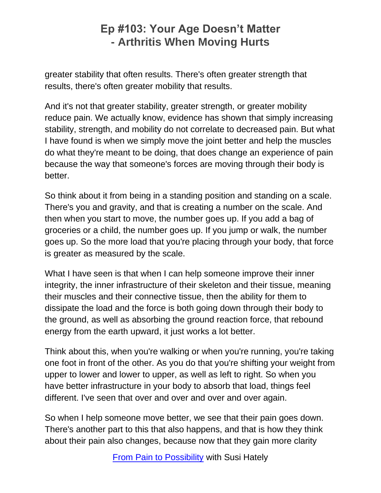greater stability that often results. There's often greater strength that results, there's often greater mobility that results.

And it's not that greater stability, greater strength, or greater mobility reduce pain. We actually know, evidence has shown that simply increasing stability, strength, and mobility do not correlate to decreased pain. But what I have found is when we simply move the joint better and help the muscles do what they're meant to be doing, that does change an experience of pain because the way that someone's forces are moving through their body is better.

So think about it from being in a standing position and standing on a scale. There's you and gravity, and that is creating a number on the scale. And then when you start to move, the number goes up. If you add a bag of groceries or a child, the number goes up. If you jump or walk, the number goes up. So the more load that you're placing through your body, that force is greater as measured by the scale.

What I have seen is that when I can help someone improve their inner integrity, the inner infrastructure of their skeleton and their tissue, meaning their muscles and their connective tissue, then the ability for them to dissipate the load and the force is both going down through their body to the ground, as well as absorbing the ground reaction force, that rebound energy from the earth upward, it just works a lot better.

Think about this, when you're walking or when you're running, you're taking one foot in front of the other. As you do that you're shifting your weight from upper to lower and lower to upper, as well as left to right. So when you have better infrastructure in your body to absorb that load, things feel different. I've seen that over and over and over and over again.

So when I help someone move better, we see that their pain goes down. There's another part to this that also happens, and that is how they think about their pain also changes, because now that they gain more clarity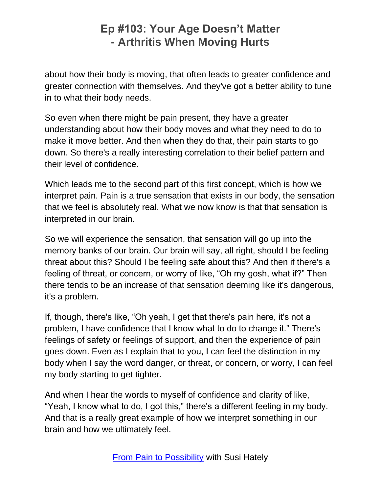about how their body is moving, that often leads to greater confidence and greater connection with themselves. And they've got a better ability to tune in to what their body needs.

So even when there might be pain present, they have a greater understanding about how their body moves and what they need to do to make it move better. And then when they do that, their pain starts to go down. So there's a really interesting correlation to their belief pattern and their level of confidence.

Which leads me to the second part of this first concept, which is how we interpret pain. Pain is a true sensation that exists in our body, the sensation that we feel is absolutely real. What we now know is that that sensation is interpreted in our brain.

So we will experience the sensation, that sensation will go up into the memory banks of our brain. Our brain will say, all right, should I be feeling threat about this? Should I be feeling safe about this? And then if there's a feeling of threat, or concern, or worry of like, "Oh my gosh, what if?" Then there tends to be an increase of that sensation deeming like it's dangerous, it's a problem.

If, though, there's like, "Oh yeah, I get that there's pain here, it's not a problem, I have confidence that I know what to do to change it." There's feelings of safety or feelings of support, and then the experience of pain goes down. Even as I explain that to you, I can feel the distinction in my body when I say the word danger, or threat, or concern, or worry, I can feel my body starting to get tighter.

And when I hear the words to myself of confidence and clarity of like, "Yeah, I know what to do, I got this," there's a different feeling in my body. And that is a really great example of how we interpret something in our brain and how we ultimately feel.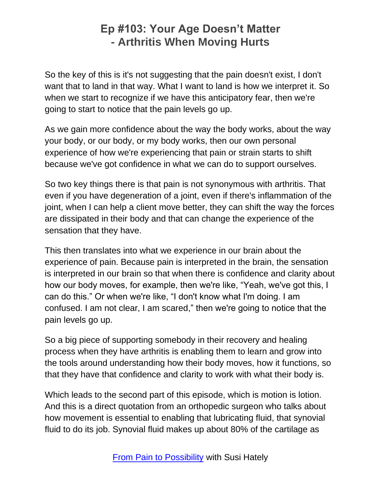So the key of this is it's not suggesting that the pain doesn't exist, I don't want that to land in that way. What I want to land is how we interpret it. So when we start to recognize if we have this anticipatory fear, then we're going to start to notice that the pain levels go up.

As we gain more confidence about the way the body works, about the way your body, or our body, or my body works, then our own personal experience of how we're experiencing that pain or strain starts to shift because we've got confidence in what we can do to support ourselves.

So two key things there is that pain is not synonymous with arthritis. That even if you have degeneration of a joint, even if there's inflammation of the joint, when I can help a client move better, they can shift the way the forces are dissipated in their body and that can change the experience of the sensation that they have.

This then translates into what we experience in our brain about the experience of pain. Because pain is interpreted in the brain, the sensation is interpreted in our brain so that when there is confidence and clarity about how our body moves, for example, then we're like, "Yeah, we've got this, I can do this." Or when we're like, "I don't know what I'm doing. I am confused. I am not clear, I am scared," then we're going to notice that the pain levels go up.

So a big piece of supporting somebody in their recovery and healing process when they have arthritis is enabling them to learn and grow into the tools around understanding how their body moves, how it functions, so that they have that confidence and clarity to work with what their body is.

Which leads to the second part of this episode, which is motion is lotion. And this is a direct quotation from an orthopedic surgeon who talks about how movement is essential to enabling that lubricating fluid, that synovial fluid to do its job. Synovial fluid makes up about 80% of the cartilage as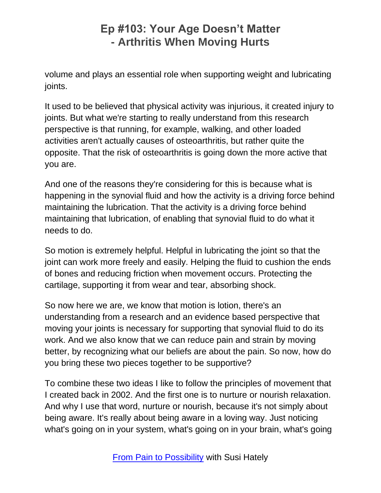volume and plays an essential role when supporting weight and lubricating joints.

It used to be believed that physical activity was injurious, it created injury to joints. But what we're starting to really understand from this research perspective is that running, for example, walking, and other loaded activities aren't actually causes of osteoarthritis, but rather quite the opposite. That the risk of osteoarthritis is going down the more active that you are.

And one of the reasons they're considering for this is because what is happening in the synovial fluid and how the activity is a driving force behind maintaining the lubrication. That the activity is a driving force behind maintaining that lubrication, of enabling that synovial fluid to do what it needs to do.

So motion is extremely helpful. Helpful in lubricating the joint so that the joint can work more freely and easily. Helping the fluid to cushion the ends of bones and reducing friction when movement occurs. Protecting the cartilage, supporting it from wear and tear, absorbing shock.

So now here we are, we know that motion is lotion, there's an understanding from a research and an evidence based perspective that moving your joints is necessary for supporting that synovial fluid to do its work. And we also know that we can reduce pain and strain by moving better, by recognizing what our beliefs are about the pain. So now, how do you bring these two pieces together to be supportive?

To combine these two ideas I like to follow the principles of movement that I created back in 2002. And the first one is to nurture or nourish relaxation. And why I use that word, nurture or nourish, because it's not simply about being aware. It's really about being aware in a loving way. Just noticing what's going on in your system, what's going on in your brain, what's going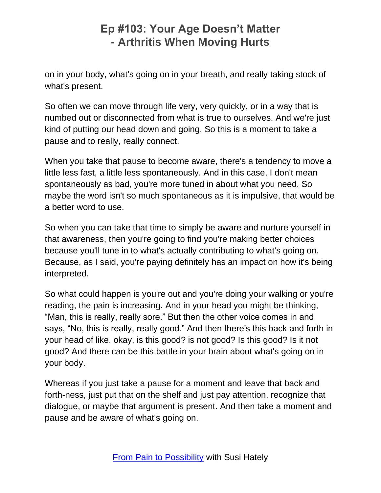on in your body, what's going on in your breath, and really taking stock of what's present.

So often we can move through life very, very quickly, or in a way that is numbed out or disconnected from what is true to ourselves. And we're just kind of putting our head down and going. So this is a moment to take a pause and to really, really connect.

When you take that pause to become aware, there's a tendency to move a little less fast, a little less spontaneously. And in this case, I don't mean spontaneously as bad, you're more tuned in about what you need. So maybe the word isn't so much spontaneous as it is impulsive, that would be a better word to use.

So when you can take that time to simply be aware and nurture yourself in that awareness, then you're going to find you're making better choices because you'll tune in to what's actually contributing to what's going on. Because, as I said, you're paying definitely has an impact on how it's being interpreted.

So what could happen is you're out and you're doing your walking or you're reading, the pain is increasing. And in your head you might be thinking, "Man, this is really, really sore." But then the other voice comes in and says, "No, this is really, really good." And then there's this back and forth in your head of like, okay, is this good? is not good? Is this good? Is it not good? And there can be this battle in your brain about what's going on in your body.

Whereas if you just take a pause for a moment and leave that back and forth-ness, just put that on the shelf and just pay attention, recognize that dialogue, or maybe that argument is present. And then take a moment and pause and be aware of what's going on.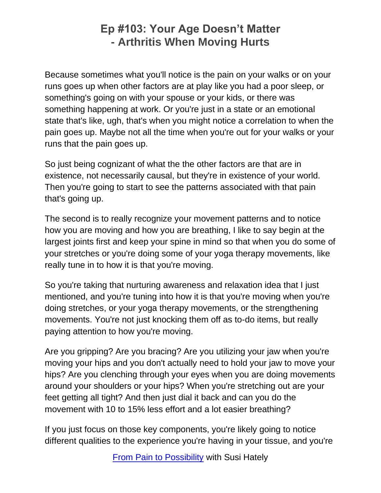Because sometimes what you'll notice is the pain on your walks or on your runs goes up when other factors are at play like you had a poor sleep, or something's going on with your spouse or your kids, or there was something happening at work. Or you're just in a state or an emotional state that's like, ugh, that's when you might notice a correlation to when the pain goes up. Maybe not all the time when you're out for your walks or your runs that the pain goes up.

So just being cognizant of what the the other factors are that are in existence, not necessarily causal, but they're in existence of your world. Then you're going to start to see the patterns associated with that pain that's going up.

The second is to really recognize your movement patterns and to notice how you are moving and how you are breathing, I like to say begin at the largest joints first and keep your spine in mind so that when you do some of your stretches or you're doing some of your yoga therapy movements, like really tune in to how it is that you're moving.

So you're taking that nurturing awareness and relaxation idea that I just mentioned, and you're tuning into how it is that you're moving when you're doing stretches, or your yoga therapy movements, or the strengthening movements. You're not just knocking them off as to-do items, but really paying attention to how you're moving.

Are you gripping? Are you bracing? Are you utilizing your jaw when you're moving your hips and you don't actually need to hold your jaw to move your hips? Are you clenching through your eyes when you are doing movements around your shoulders or your hips? When you're stretching out are your feet getting all tight? And then just dial it back and can you do the movement with 10 to 15% less effort and a lot easier breathing?

If you just focus on those key components, you're likely going to notice different qualities to the experience you're having in your tissue, and you're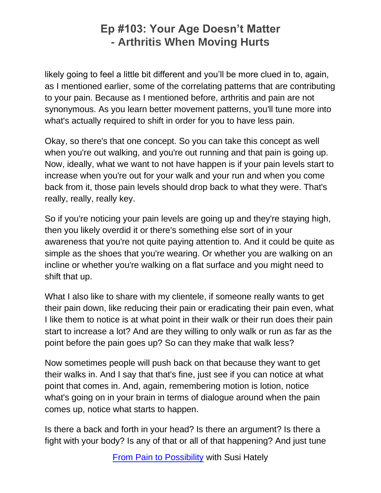likely going to feel a little bit different and you'll be more clued in to, again, as I mentioned earlier, some of the correlating patterns that are contributing to your pain. Because as I mentioned before, arthritis and pain are not synonymous. As you learn better movement patterns, you'll tune more into what's actually required to shift in order for you to have less pain.

Okay, so there's that one concept. So you can take this concept as well when you're out walking, and you're out running and that pain is going up. Now, ideally, what we want to not have happen is if your pain levels start to increase when you're out for your walk and your run and when you come back from it, those pain levels should drop back to what they were. That's really, really, really key.

So if you're noticing your pain levels are going up and they're staying high, then you likely overdid it or there's something else sort of in your awareness that you're not quite paying attention to. And it could be quite as simple as the shoes that you're wearing. Or whether you are walking on an incline or whether you're walking on a flat surface and you might need to shift that up.

What I also like to share with my clientele, if someone really wants to get their pain down, like reducing their pain or eradicating their pain even, what I like them to notice is at what point in their walk or their run does their pain start to increase a lot? And are they willing to only walk or run as far as the point before the pain goes up? So can they make that walk less?

Now sometimes people will push back on that because they want to get their walks in. And I say that that's fine, just see if you can notice at what point that comes in. And, again, remembering motion is lotion, notice what's going on in your brain in terms of dialogue around when the pain comes up, notice what starts to happen.

Is there a back and forth in your head? Is there an argument? Is there a fight with your body? Is any of that or all of that happening? And just tune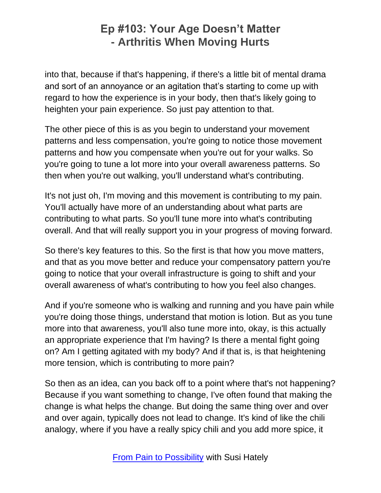into that, because if that's happening, if there's a little bit of mental drama and sort of an annoyance or an agitation that's starting to come up with regard to how the experience is in your body, then that's likely going to heighten your pain experience. So just pay attention to that.

The other piece of this is as you begin to understand your movement patterns and less compensation, you're going to notice those movement patterns and how you compensate when you're out for your walks. So you're going to tune a lot more into your overall awareness patterns. So then when you're out walking, you'll understand what's contributing.

It's not just oh, I'm moving and this movement is contributing to my pain. You'll actually have more of an understanding about what parts are contributing to what parts. So you'll tune more into what's contributing overall. And that will really support you in your progress of moving forward.

So there's key features to this. So the first is that how you move matters, and that as you move better and reduce your compensatory pattern you're going to notice that your overall infrastructure is going to shift and your overall awareness of what's contributing to how you feel also changes.

And if you're someone who is walking and running and you have pain while you're doing those things, understand that motion is lotion. But as you tune more into that awareness, you'll also tune more into, okay, is this actually an appropriate experience that I'm having? Is there a mental fight going on? Am I getting agitated with my body? And if that is, is that heightening more tension, which is contributing to more pain?

So then as an idea, can you back off to a point where that's not happening? Because if you want something to change, I've often found that making the change is what helps the change. But doing the same thing over and over and over again, typically does not lead to change. It's kind of like the chili analogy, where if you have a really spicy chili and you add more spice, it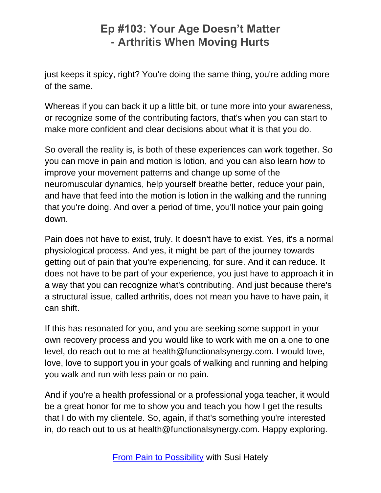just keeps it spicy, right? You're doing the same thing, you're adding more of the same.

Whereas if you can back it up a little bit, or tune more into your awareness, or recognize some of the contributing factors, that's when you can start to make more confident and clear decisions about what it is that you do.

So overall the reality is, is both of these experiences can work together. So you can move in pain and motion is lotion, and you can also learn how to improve your movement patterns and change up some of the neuromuscular dynamics, help yourself breathe better, reduce your pain, and have that feed into the motion is lotion in the walking and the running that you're doing. And over a period of time, you'll notice your pain going down.

Pain does not have to exist, truly. It doesn't have to exist. Yes, it's a normal physiological process. And yes, it might be part of the journey towards getting out of pain that you're experiencing, for sure. And it can reduce. It does not have to be part of your experience, you just have to approach it in a way that you can recognize what's contributing. And just because there's a structural issue, called arthritis, does not mean you have to have pain, it can shift.

If this has resonated for you, and you are seeking some support in your own recovery process and you would like to work with me on a one to one level, do reach out to me at health@functionalsynergy.com. I would love, love, love to support you in your goals of walking and running and helping you walk and run with less pain or no pain.

And if you're a health professional or a professional yoga teacher, it would be a great honor for me to show you and teach you how I get the results that I do with my clientele. So, again, if that's something you're interested in, do reach out to us at health@functionalsynergy.com. Happy exploring.